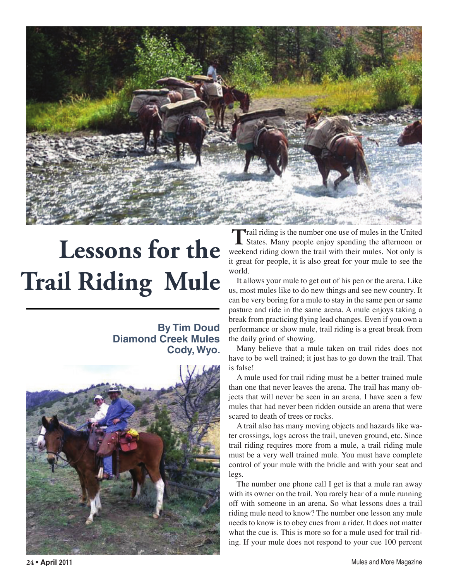

## **Lessons for the Trail Riding Mule**

## **By Tim Doud Diamond Creek Mules Cody, Wyo.**



Trail riding is the number one use of mules in the United States. Many people enjoy spending the afternoon or weekend riding down the trail with their mules. Not only is it great for people, it is also great for your mule to see the world.

It allows your mule to get out of his pen or the arena. Like us, most mules like to do new things and see new country. It can be very boring for a mule to stay in the same pen or same pasture and ride in the same arena. A mule enjoys taking a break from practicing flying lead changes. Even if you own a performance or show mule, trail riding is a great break from the daily grind of showing.

Many believe that a mule taken on trail rides does not have to be well trained; it just has to go down the trail. That is false!

A mule used for trail riding must be a better trained mule than one that never leaves the arena. The trail has many objects that will never be seen in an arena. I have seen a few mules that had never been ridden outside an arena that were scared to death of trees or rocks.

A trail also has many moving objects and hazards like water crossings, logs across the trail, uneven ground, etc. Since trail riding requires more from a mule, a trail riding mule must be a very well trained mule. You must have complete control of your mule with the bridle and with your seat and legs.

The number one phone call I get is that a mule ran away with its owner on the trail. You rarely hear of a mule running off with someone in an arena. So what lessons does a trail riding mule need to know? The number one lesson any mule needs to know is to obey cues from a rider. It does not matter what the cue is. This is more so for a mule used for trail riding. If your mule does not respond to your cue 100 percent